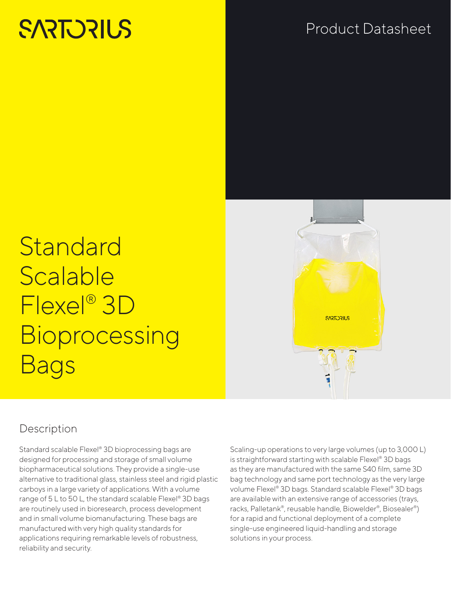# **SARTORILS**

# Product Datasheet

**Standard** Scalable Flexel® 3D **Bioprocessing** Bags

# **SAREDRILS**

# Description

Standard scalable Flexel® 3D bioprocessing bags are designed for processing and storage of small volume biopharmaceutical solutions. They provide a single-use alternative to traditional glass, stainless steel and rigid plastic carboys in a large variety of applications. With a volume range of 5 L to 50 L, the standard scalable Flexel® 3D bags are routinely used in bioresearch, process development and in small volume biomanufacturing. These bags are manufactured with very high quality standards for applications requiring remarkable levels of robustness, reliability and security.

Scaling-up operations to very large volumes (up to 3,000 L) is straightforward starting with scalable Flexel® 3D bags as they are manufactured with the same S40 film, same 3D bag technology and same port technology as the very large volume Flexel® 3D bags. Standard scalable Flexel® 3D bags are available with an extensive range of accessories (trays, racks, Palletank®, reusable handle, Biowelder®, Biosealer®) for a rapid and functional deployment of a complete single-use engineered liquid-handling and storage solutions in your process.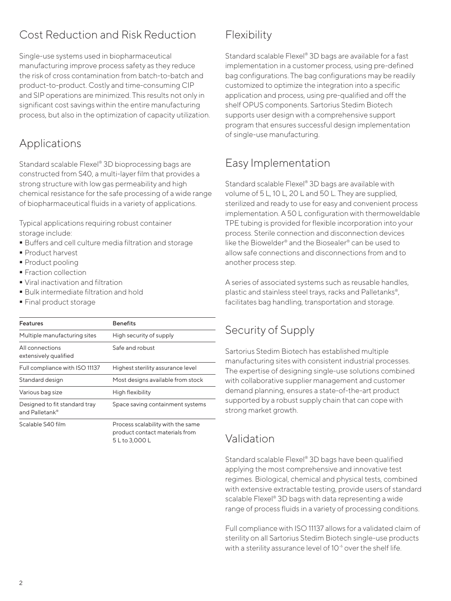# Cost Reduction and Risk Reduction

Single-use systems used in biopharmaceutical manufacturing improve process safety as they reduce the risk of cross contamination from batch-to-batch and product-to-product. Costly and time-consuming CIP and SIP operations are minimized. This results not only in significant cost savings within the entire manufacturing process, but also in the optimization of capacity utilization.

# Applications

Standard scalable Flexel® 3D bioprocessing bags are constructed from S40, a multi-layer film that provides a strong structure with low gas permeability and high chemical resistance for the safe processing of a wide range of biopharmaceutical fluids in a variety of applications.

Typical applications requiring robust container storage include:

- Buffers and cell culture media filtration and storage
- **Product harvest**
- Product pooling
- **Fraction collection**
- Viral inactivation and filtration
- Bulk intermediate filtration and hold
- Final product storage

| <b>Features</b>                                 | <b>Benefits</b>                                                                       |
|-------------------------------------------------|---------------------------------------------------------------------------------------|
| Multiple manufacturing sites                    | High security of supply                                                               |
| All connections<br>extensively qualified        | Safe and robust                                                                       |
| Full compliance with ISO 11137                  | Highest sterility assurance level                                                     |
| Standard design                                 | Most designs available from stock                                                     |
| Various bag size                                | High flexibility                                                                      |
| Designed to fit standard tray<br>and Palletank® | Space saving containment systems                                                      |
| Scalable S40 film                               | Process scalability with the same<br>product contact materials from<br>5 L to 3,000 L |

# Flexibility

Standard scalable Flexel® 3D bags are available for a fast implementation in a customer process, using pre-defined bag configurations. The bag configurations may be readily customized to optimize the integration into a specific application and process, using pre-qualified and off the shelf OPUS components. Sartorius Stedim Biotech supports user design with a comprehensive support program that ensures successful design implementation of single-use manufacturing.

# Easy Implementation

Standard scalable Flexel® 3D bags are available with volume of 5 L, 10 L, 20 L and 50 L. They are supplied, sterilized and ready to use for easy and convenient process implementation. A 50 L configuration with thermoweldable TPE tubing is provided for flexible incorporation into your process. Sterile connection and disconnection devices like the Biowelder® and the Biosealer® can be used to allow safe connections and disconnections from and to another process step.

A series of associated systems such as reusable handles, plastic and stainless steel trays, racks and Palletanks®, facilitates bag handling, transportation and storage.

# Security of Supply

Sartorius Stedim Biotech has established multiple manufacturing sites with consistent industrial processes. The expertise of designing single-use solutions combined with collaborative supplier management and customer demand planning, ensures a state-of-the-art product supported by a robust supply chain that can cope with strong market growth.

# Validation

Standard scalable Flexel® 3D bags have been qualified applying the most comprehensive and innovative test regimes. Biological, chemical and physical tests, combined with extensive extractable testing, provide users of standard scalable Flexel® 3D bags with data representing a wide range of process fluids in a variety of processing conditions.

Full compliance with ISO 11137 allows for a validated claim of sterility on all Sartorius Stedim Biotech single-use products with a sterility assurance level of 10<sup>-6</sup> over the shelf life.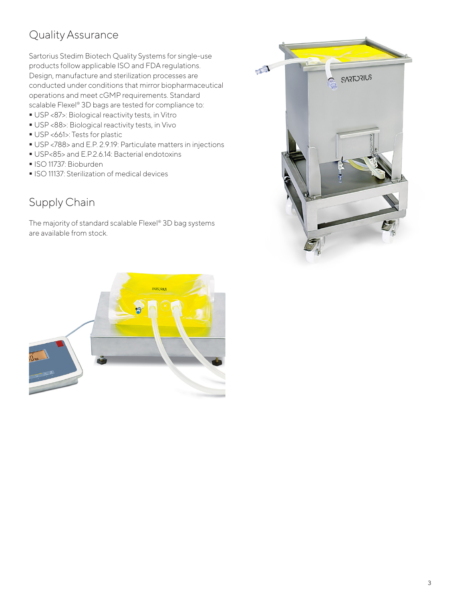# Quality Assurance

Sartorius Stedim Biotech Quality Systems for single-use products follow applicable ISO and FDA regulations. Design, manufacture and sterilization processes are conducted under conditions that mirror biopharmaceutical operations and meet cGMP requirements. Standard scalable Flexel® 3D bags are tested for compliance to:

- USP <87>: Biological reactivity tests, in Vitro
- USP <88>: Biological reactivity tests, in Vivo
- USP <661>: Tests for plastic
- USP <788> and E.P. 2.9.19: Particulate matters in injections
- USP<85> and E.P.2.6.14: Bacterial endotoxins
- ISO 11737: Bioburden
- **ISO 11137: Sterilization of medical devices**

## Supply Chain

The majority of standard scalable Flexel® 3D bag systems are available from stock.



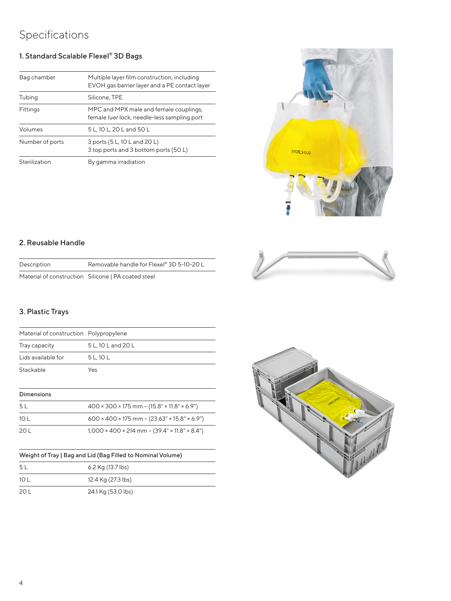# Specifications

### 1. Standard Scalable Flexel® 3D Bags

| Bag chamber     | Multiple layer film construction, including<br>EVOH gas barrier layer and a PE contact layer |
|-----------------|----------------------------------------------------------------------------------------------|
| Tubing          | Silicone, TPE                                                                                |
| Fittings        | MPC and MPX male and female couplings,<br>female luer lock, needle-less sampling port        |
| Volumes         | 5 L, 10 L, 20 L and 50 L                                                                     |
| Number of ports | 3 ports (5 L, 10 L and 20 L)<br>3 top ports and 3 bottom ports (50 L)                        |
| Sterilization   | By gamma irradiation                                                                         |



### 2. Reusable Handle

| Removable handle for Flexel® 3D 5-10-20 L<br>Description |  |
|----------------------------------------------------------|--|

Material of construction Silicone | PA coated steel

### 3. Plastic Trays

| Material of construction Polypropylene |                    |
|----------------------------------------|--------------------|
| Tray capacity                          | 5 L, 10 L and 20 L |
| Lids available for                     | 5 L, 10 L          |
| Stackable                              | Yes                |

### Dimensions

| 5 L  | $400 \times 300 \times 175$ mm – $(15.8" \times 11.8" \times 6.9")$   |
|------|-----------------------------------------------------------------------|
| 10 L | $600 \times 400 \times 175$ mm – $(23.63" \times 15.8" \times 6.9")$  |
| 20 L | $1,000 \times 400 \times 214$ mm – $(39.4" \times 11.8" \times 8.4")$ |

### Weight of Tray | Bag and Lid (Bag Filled to Nominal Volume)

| 5 l  | 6.2 Kg (13.7 lbs)  |
|------|--------------------|
| 10 L | 12.4 Kg (27.3 lbs) |
| 20 L | 24.1 Kg (53.0 lbs) |



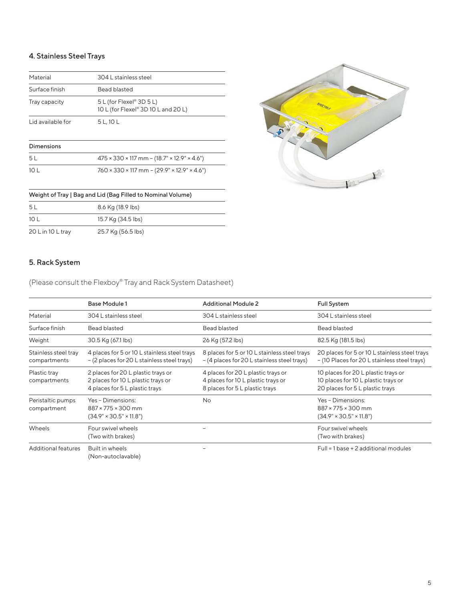### 4. Stainless Steel Trays

| Material          | 304   stainless steel                                           |  |
|-------------------|-----------------------------------------------------------------|--|
| Surface finish    | Bead blasted                                                    |  |
| Tray capacity     | 5 L (for Flexel® 3D 5 L)<br>10 L (for Flexel® 3D 10 L and 20 L) |  |
| Lid available for | 5 L. 10 L                                                       |  |
|                   |                                                                 |  |

### Dimensions

| 5 L  | $475 \times 330 \times 117$ mm – $(18.7" \times 12.9" \times 4.6")$ |
|------|---------------------------------------------------------------------|
| 10 L | $760 \times 330 \times 117$ mm – (29.9" × 12.9" × 4.6")             |



### Weight of Tray | Bag and Lid (Bag Filled to Nominal Volume)

| -5 L              | 8.6 Kg (18.9 lbs)  |
|-------------------|--------------------|
| 10 L              | 15.7 Kg (34.5 lbs) |
| 20 L in 10 L tray | 25.7 Kg (56.5 lbs) |

### 5. Rack System

(Please consult the Flexboy® Tray and Rack System Datasheet)

|                                      | <b>Base Module 1</b>                                                                                       | <b>Additional Module 2</b>                                                                                 | <b>Full System</b>                                                                                            |
|--------------------------------------|------------------------------------------------------------------------------------------------------------|------------------------------------------------------------------------------------------------------------|---------------------------------------------------------------------------------------------------------------|
| Material                             | 304 L stainless steel                                                                                      | 304 L stainless steel                                                                                      | 304 L stainless steel                                                                                         |
| Surface finish                       | Bead blasted                                                                                               | Bead blasted                                                                                               | Bead blasted                                                                                                  |
| Weight                               | 30.5 Kg (67.1 lbs)                                                                                         | 26 Kg (57.2 lbs)                                                                                           | 82.5 Kg (181.5 lbs)                                                                                           |
| Stainless steel tray<br>compartments | 4 places for 5 or 10 L stainless steel trays<br>- (2 places for 20 L stainless steel trays)                | 8 places for 5 or 10 L stainless steel trays<br>- (4 places for 20 L stainless steel trays)                | 20 places for 5 or 10 L stainless steel trays<br>- (10 Places for 20 L stainless steel trays)                 |
| Plastic tray<br>compartments         | 2 places for 20 L plastic trays or<br>2 places for 10 L plastic trays or<br>4 places for 5 L plastic trays | 4 places for 20 L plastic trays or<br>4 places for 10 L plastic trays or<br>8 places for 5 L plastic trays | 10 places for 20 L plastic trays or<br>10 places for 10 L plastic trays or<br>20 places for 5 L plastic trays |
| Peristaltic pumps<br>compartment     | Yes - Dimensions:<br>$887 \times 775 \times 300$ mm<br>$(34.9" \times 30.5" \times 11.8")$                 | <b>No</b>                                                                                                  | Yes - Dimensions:<br>$887 \times 775 \times 300$ mm<br>$(34.9" \times 30.5" \times 11.8")$                    |
| Wheels                               | Four swivel wheels<br>(Two with brakes)                                                                    |                                                                                                            | Four swivel wheels<br>(Two with brakes)                                                                       |
| Additional features                  | Built in wheels<br>(Non-autoclavable)                                                                      |                                                                                                            | Full = $1$ base + $2$ additional modules                                                                      |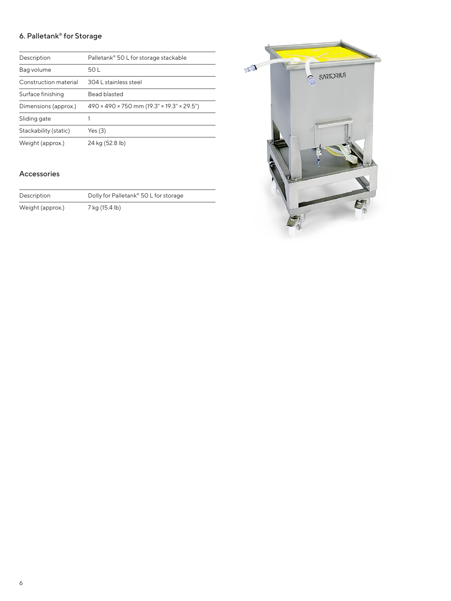### 6. Palletank® for Storage

| Description           | Palletank® 50 L for storage stackable      |
|-----------------------|--------------------------------------------|
| Bag volume            | 50 L                                       |
| Construction material | 304   stainless steel                      |
| Surface finishing     | Bead blasted                               |
| Dimensions (approx.)  | 490 × 490 × 750 mm (19.3" × 19.3" × 29.5") |
| Sliding gate          |                                            |
| Stackability (static) | Yes(3)                                     |
| Weight (approx.)      | 24 kg (52.8 lb)                            |

### Accessories

| Description      | Dolly for Palletank® 50 L for storage |
|------------------|---------------------------------------|
| Weight (approx.) | 7 kg (15.4 lb)                        |

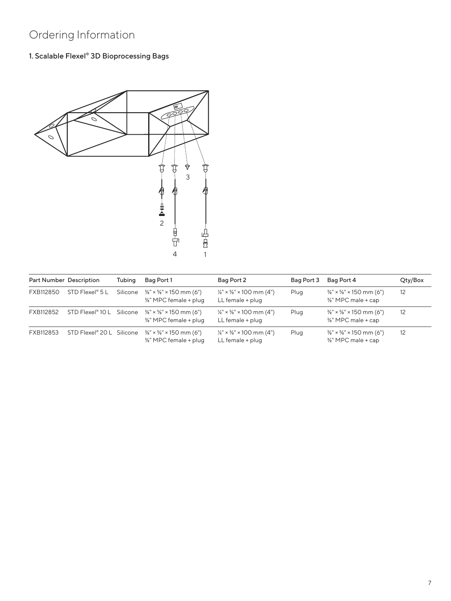# Ordering Information

### 1. Scalable Flexel® 3D Bioprocessing Bags



| Part Number Description |                                       | Tubing   | Bag Port 1                                                              | Bag Port 2                                                                        | Bag Port 3 | Bag Port 4                                                                          | Qty/Box |
|-------------------------|---------------------------------------|----------|-------------------------------------------------------------------------|-----------------------------------------------------------------------------------|------------|-------------------------------------------------------------------------------------|---------|
| FXB112850               | $STD$ Flexel <sup>®</sup> 5 L         | Silicone | $\frac{3}{8}$ " × $\frac{5}{8}$ " × 150 mm (6")<br>%" MPC female + plug | $\frac{1}{4}$ " × $\frac{3}{8}$ " × 100 mm (4")<br>LL female + plug               | Plug       | $\frac{3}{8}$ " × $\frac{5}{8}$ " × 150 mm (6")<br>3/ <sub>8</sub> " MPC male + cap | 12      |
| FXB112852               | STD Flexel <sup>®</sup> 10 L Silicone |          | $\frac{3}{8}$ " × $\frac{5}{8}$ " × 150 mm (6")<br>%" MPC female + plug | $\frac{1}{4}$ " × $\frac{3}{8}$ " × 100 mm (4")<br>LL female + plug               | Plug       | $\frac{3}{8}$ " × $\frac{5}{8}$ " × 150 mm (6")<br>%" MPC male + cap                | 12      |
| FXB112853               | STD Flexel <sup>®</sup> 20 L Silicone |          | $\frac{3}{8}$ " × $\frac{5}{8}$ " × 150 mm (6")<br>%" MPC female + plug | $\frac{1}{4}$ " × <sup>3</sup> / <sub>8</sub> " × 100 mm (4")<br>LL female + plug | Plug       | $\frac{3}{8}$ " × $\frac{5}{8}$ " × 150 mm (6")<br>%" MPC male + cap                | 12      |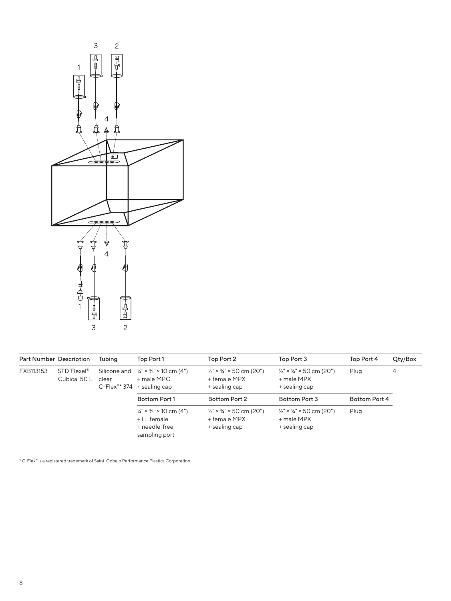

| Part Number Description |                                                  | Tubing | Top Port 1                                                                                                                 | Top Port 2                                                                       | Top Port 3                                                                     | Top Port 4    | Qty/Box |
|-------------------------|--------------------------------------------------|--------|----------------------------------------------------------------------------------------------------------------------------|----------------------------------------------------------------------------------|--------------------------------------------------------------------------------|---------------|---------|
| FXB113153               | STD Flexel <sup>®</sup><br>Cubical 50 L<br>clear |        | Silicone and $\frac{1}{4} \times \frac{3}{8} \times 10$ cm (4")<br>+ male MPC<br>$C$ -Flex <sup>®*</sup> 374 + sealing cap | $\frac{1}{2}$ " × $\frac{3}{4}$ " × 50 cm (20")<br>+ female MPX<br>+ sealing cap | $\frac{1}{2}$ " × $\frac{3}{4}$ " × 50 cm (20")<br>+ male MPX<br>+ sealing cap | Plug          | 4       |
|                         |                                                  |        | <b>Bottom Port 1</b>                                                                                                       | Bottom Port 2                                                                    | Bottom Port 3                                                                  | Bottom Port 4 |         |
|                         |                                                  |        | $\frac{1}{4}$ " × $\frac{3}{8}$ " × 10 cm (4")<br>$+LL$ female<br>+ needle-free<br>sampling port                           | $\frac{1}{2}$ " × $\frac{3}{4}$ " × 50 cm (20")<br>+ female MPX<br>+ sealing cap | $\frac{1}{2}$ " × $\frac{3}{4}$ " × 50 cm (20")<br>+ male MPX<br>+ sealing cap | Plug          |         |

\* C-Flex® is a registered trademark of Saint-Gobain Performance Plastics Corporation.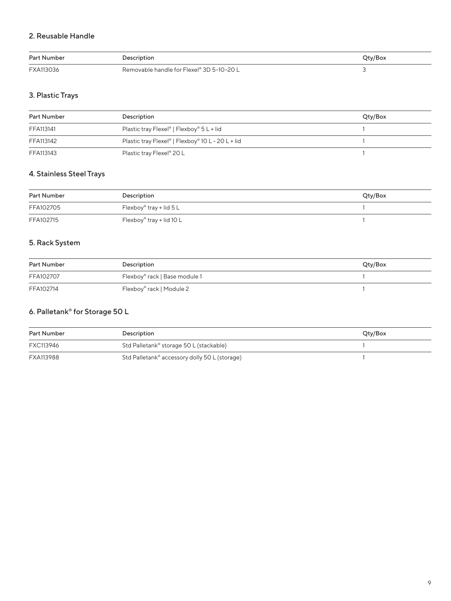### 2. Reusable Handle

| <b>Part Number</b> | Description                               | <b>Qty/Box</b> |
|--------------------|-------------------------------------------|----------------|
| FXA113036          | Removable handle for Flexel® 3D 5-10-20 L |                |

### 3. Plastic Trays

| Part Number | Description                                                       | Qty/Box |
|-------------|-------------------------------------------------------------------|---------|
| FFA113141   | Plastic tray Flexel <sup>®</sup>   Flexboy <sup>®</sup> 5 L + lid |         |
| FFA113142   | Plastic tray Flexel®   Flexboy® 10 L - 20 L + lid                 |         |
| FFA113143   | Plastic tray Flexel® 20 L                                         |         |

### 4. Stainless Steel Trays

| Part Number | Description               | Qty/Box |
|-------------|---------------------------|---------|
| FFA102705   | Flexboy® tray + lid $5 L$ |         |
| FFA102715   | Flexboy® tray + lid 10 L  |         |

### 5. Rack System

| Part Number | Description                   | Qty/Box |
|-------------|-------------------------------|---------|
| FFA102707   | Flexboy® rack   Base module 1 |         |
| FFA102714   | Flexboy® rack   Module 2      |         |

### 6. Palletank® for Storage 50 L

| Part Number | Description                                   | Qty/Box |
|-------------|-----------------------------------------------|---------|
| FXC113946   | Std Palletank® storage 50 L (stackable)       |         |
| FXA113988   | Std Palletank® accessory dolly 50 L (storage) |         |